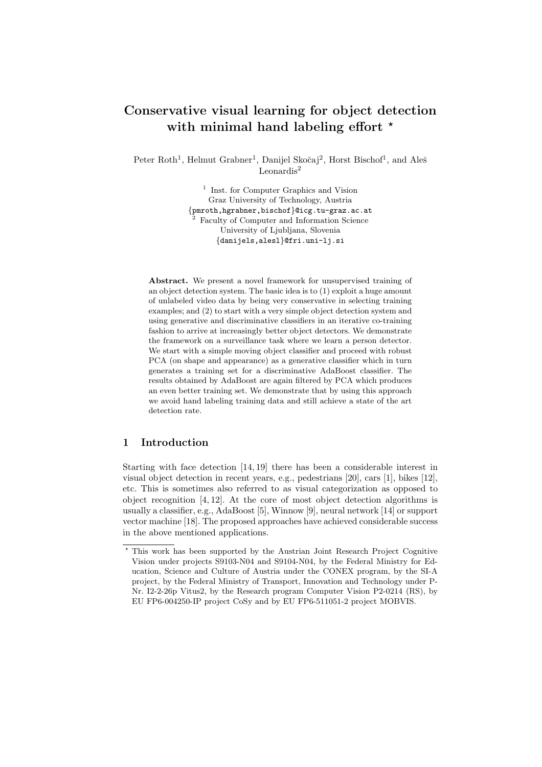# Conservative visual learning for object detection with minimal hand labeling effort  $\star$

Peter Roth<sup>1</sup>, Helmut Grabner<sup>1</sup>, Danijel Skočaj<sup>2</sup>, Horst Bischof<sup>1</sup>, and Aleš  $Leonardis<sup>2</sup>$ 

> <sup>1</sup> Inst. for Computer Graphics and Vision Graz University of Technology, Austria {pmroth,hgrabner,bischof}@icg.tu-graz.ac.at <sup>2</sup> Faculty of Computer and Information Science University of Ljubljana, Slovenia {danijels,alesl}@fri.uni-lj.si

Abstract. We present a novel framework for unsupervised training of an object detection system. The basic idea is to (1) exploit a huge amount of unlabeled video data by being very conservative in selecting training examples; and (2) to start with a very simple object detection system and using generative and discriminative classifiers in an iterative co-training fashion to arrive at increasingly better object detectors. We demonstrate the framework on a surveillance task where we learn a person detector. We start with a simple moving object classifier and proceed with robust PCA (on shape and appearance) as a generative classifier which in turn generates a training set for a discriminative AdaBoost classifier. The results obtained by AdaBoost are again filtered by PCA which produces an even better training set. We demonstrate that by using this approach we avoid hand labeling training data and still achieve a state of the art detection rate.

# 1 Introduction

Starting with face detection [14, 19] there has been a considerable interest in visual object detection in recent years, e.g., pedestrians [20], cars [1], bikes [12], etc. This is sometimes also referred to as visual categorization as opposed to object recognition [4, 12]. At the core of most object detection algorithms is usually a classifier, e.g., AdaBoost [5], Winnow [9], neural network [14] or support vector machine [18]. The proposed approaches have achieved considerable success in the above mentioned applications.

<sup>?</sup> This work has been supported by the Austrian Joint Research Project Cognitive Vision under projects S9103-N04 and S9104-N04, by the Federal Ministry for Education, Science and Culture of Austria under the CONEX program, by the SI-A project, by the Federal Ministry of Transport, Innovation and Technology under P-Nr. I2-2-26p Vitus2, by the Research program Computer Vision P2-0214 (RS), by EU FP6-004250-IP project CoSy and by EU FP6-511051-2 project MOBVIS.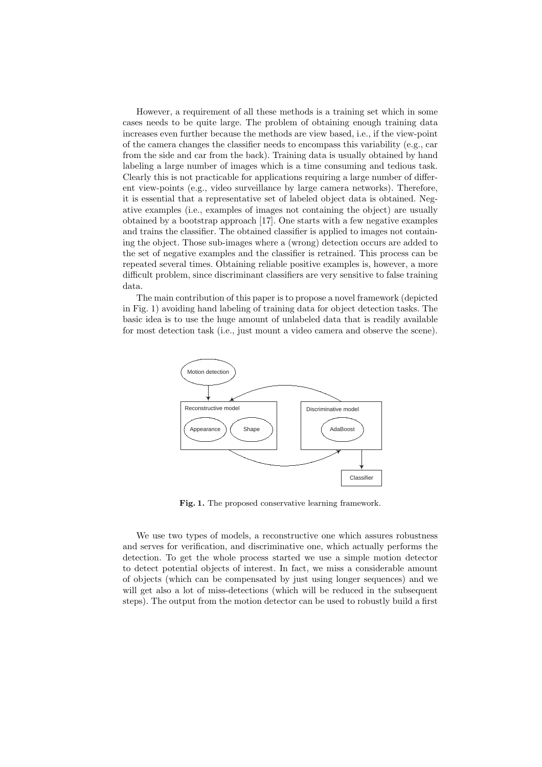However, a requirement of all these methods is a training set which in some cases needs to be quite large. The problem of obtaining enough training data increases even further because the methods are view based, i.e., if the view-point of the camera changes the classifier needs to encompass this variability (e.g., car from the side and car from the back). Training data is usually obtained by hand labeling a large number of images which is a time consuming and tedious task. Clearly this is not practicable for applications requiring a large number of different view-points (e.g., video surveillance by large camera networks). Therefore, it is essential that a representative set of labeled object data is obtained. Negative examples (i.e., examples of images not containing the object) are usually obtained by a bootstrap approach [17]. One starts with a few negative examples and trains the classifier. The obtained classifier is applied to images not containing the object. Those sub-images where a (wrong) detection occurs are added to the set of negative examples and the classifier is retrained. This process can be repeated several times. Obtaining reliable positive examples is, however, a more difficult problem, since discriminant classifiers are very sensitive to false training data.

The main contribution of this paper is to propose a novel framework (depicted in Fig. 1) avoiding hand labeling of training data for object detection tasks. The basic idea is to use the huge amount of unlabeled data that is readily available for most detection task (i.e., just mount a video camera and observe the scene).



Fig. 1. The proposed conservative learning framework.

We use two types of models, a reconstructive one which assures robustness and serves for verification, and discriminative one, which actually performs the detection. To get the whole process started we use a simple motion detector to detect potential objects of interest. In fact, we miss a considerable amount of objects (which can be compensated by just using longer sequences) and we will get also a lot of miss-detections (which will be reduced in the subsequent steps). The output from the motion detector can be used to robustly build a first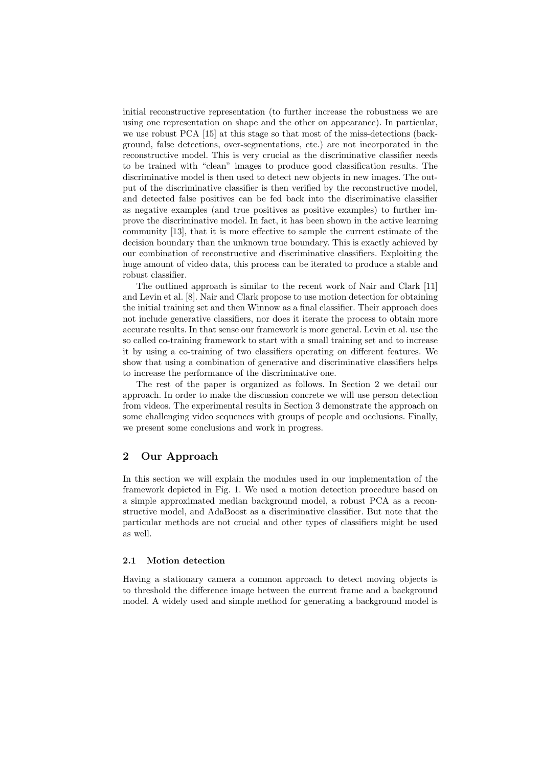initial reconstructive representation (to further increase the robustness we are using one representation on shape and the other on appearance). In particular, we use robust PCA [15] at this stage so that most of the miss-detections (background, false detections, over-segmentations, etc.) are not incorporated in the reconstructive model. This is very crucial as the discriminative classifier needs to be trained with "clean" images to produce good classification results. The discriminative model is then used to detect new objects in new images. The output of the discriminative classifier is then verified by the reconstructive model, and detected false positives can be fed back into the discriminative classifier as negative examples (and true positives as positive examples) to further improve the discriminative model. In fact, it has been shown in the active learning community [13], that it is more effective to sample the current estimate of the decision boundary than the unknown true boundary. This is exactly achieved by our combination of reconstructive and discriminative classifiers. Exploiting the huge amount of video data, this process can be iterated to produce a stable and robust classifier.

The outlined approach is similar to the recent work of Nair and Clark [11] and Levin et al. [8]. Nair and Clark propose to use motion detection for obtaining the initial training set and then Winnow as a final classifier. Their approach does not include generative classifiers, nor does it iterate the process to obtain more accurate results. In that sense our framework is more general. Levin et al. use the so called co-training framework to start with a small training set and to increase it by using a co-training of two classifiers operating on different features. We show that using a combination of generative and discriminative classifiers helps to increase the performance of the discriminative one.

The rest of the paper is organized as follows. In Section 2 we detail our approach. In order to make the discussion concrete we will use person detection from videos. The experimental results in Section 3 demonstrate the approach on some challenging video sequences with groups of people and occlusions. Finally, we present some conclusions and work in progress.

#### 2 Our Approach

In this section we will explain the modules used in our implementation of the framework depicted in Fig. 1. We used a motion detection procedure based on a simple approximated median background model, a robust PCA as a reconstructive model, and AdaBoost as a discriminative classifier. But note that the particular methods are not crucial and other types of classifiers might be used as well.

#### 2.1 Motion detection

Having a stationary camera a common approach to detect moving objects is to threshold the difference image between the current frame and a background model. A widely used and simple method for generating a background model is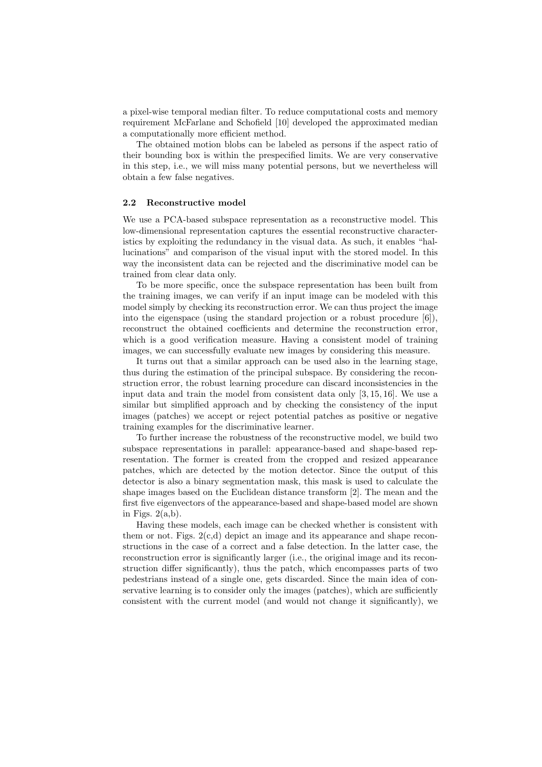a pixel-wise temporal median filter. To reduce computational costs and memory requirement McFarlane and Schofield [10] developed the approximated median a computationally more efficient method.

The obtained motion blobs can be labeled as persons if the aspect ratio of their bounding box is within the prespecified limits. We are very conservative in this step, i.e., we will miss many potential persons, but we nevertheless will obtain a few false negatives.

#### 2.2 Reconstructive model

We use a PCA-based subspace representation as a reconstructive model. This low-dimensional representation captures the essential reconstructive characteristics by exploiting the redundancy in the visual data. As such, it enables "hallucinations" and comparison of the visual input with the stored model. In this way the inconsistent data can be rejected and the discriminative model can be trained from clear data only.

To be more specific, once the subspace representation has been built from the training images, we can verify if an input image can be modeled with this model simply by checking its reconstruction error. We can thus project the image into the eigenspace (using the standard projection or a robust procedure [6]), reconstruct the obtained coefficients and determine the reconstruction error, which is a good verification measure. Having a consistent model of training images, we can successfully evaluate new images by considering this measure.

It turns out that a similar approach can be used also in the learning stage, thus during the estimation of the principal subspace. By considering the reconstruction error, the robust learning procedure can discard inconsistencies in the input data and train the model from consistent data only [3, 15, 16]. We use a similar but simplified approach and by checking the consistency of the input images (patches) we accept or reject potential patches as positive or negative training examples for the discriminative learner.

To further increase the robustness of the reconstructive model, we build two subspace representations in parallel: appearance-based and shape-based representation. The former is created from the cropped and resized appearance patches, which are detected by the motion detector. Since the output of this detector is also a binary segmentation mask, this mask is used to calculate the shape images based on the Euclidean distance transform [2]. The mean and the first five eigenvectors of the appearance-based and shape-based model are shown in Figs.  $2(a,b)$ .

Having these models, each image can be checked whether is consistent with them or not. Figs.  $2(c,d)$  depict an image and its appearance and shape reconstructions in the case of a correct and a false detection. In the latter case, the reconstruction error is significantly larger (i.e., the original image and its reconstruction differ significantly), thus the patch, which encompasses parts of two pedestrians instead of a single one, gets discarded. Since the main idea of conservative learning is to consider only the images (patches), which are sufficiently consistent with the current model (and would not change it significantly), we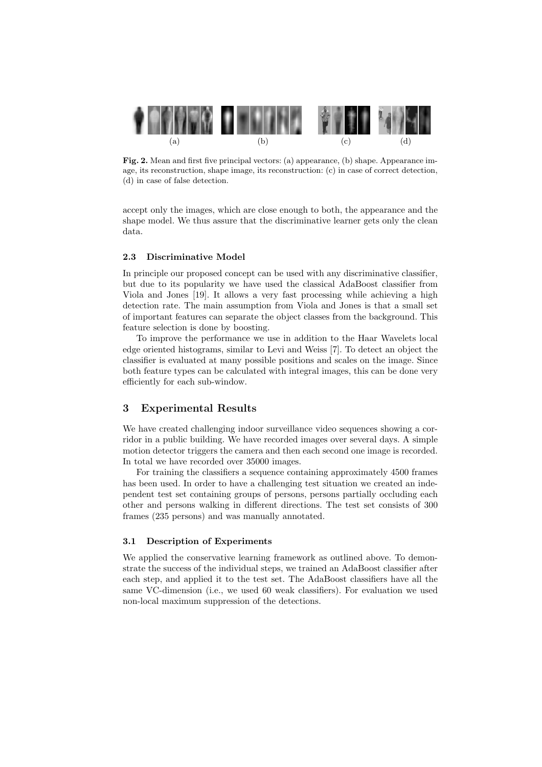

Fig. 2. Mean and first five principal vectors: (a) appearance, (b) shape. Appearance image, its reconstruction, shape image, its reconstruction: (c) in case of correct detection, (d) in case of false detection.

accept only the images, which are close enough to both, the appearance and the shape model. We thus assure that the discriminative learner gets only the clean data.

#### 2.3 Discriminative Model

In principle our proposed concept can be used with any discriminative classifier, but due to its popularity we have used the classical AdaBoost classifier from Viola and Jones [19]. It allows a very fast processing while achieving a high detection rate. The main assumption from Viola and Jones is that a small set of important features can separate the object classes from the background. This feature selection is done by boosting.

To improve the performance we use in addition to the Haar Wavelets local edge oriented histograms, similar to Levi and Weiss [7]. To detect an object the classifier is evaluated at many possible positions and scales on the image. Since both feature types can be calculated with integral images, this can be done very efficiently for each sub-window.

#### 3 Experimental Results

We have created challenging indoor surveillance video sequences showing a corridor in a public building. We have recorded images over several days. A simple motion detector triggers the camera and then each second one image is recorded. In total we have recorded over 35000 images.

For training the classifiers a sequence containing approximately 4500 frames has been used. In order to have a challenging test situation we created an independent test set containing groups of persons, persons partially occluding each other and persons walking in different directions. The test set consists of 300 frames (235 persons) and was manually annotated.

#### 3.1 Description of Experiments

We applied the conservative learning framework as outlined above. To demonstrate the success of the individual steps, we trained an AdaBoost classifier after each step, and applied it to the test set. The AdaBoost classifiers have all the same VC-dimension (i.e., we used 60 weak classifiers). For evaluation we used non-local maximum suppression of the detections.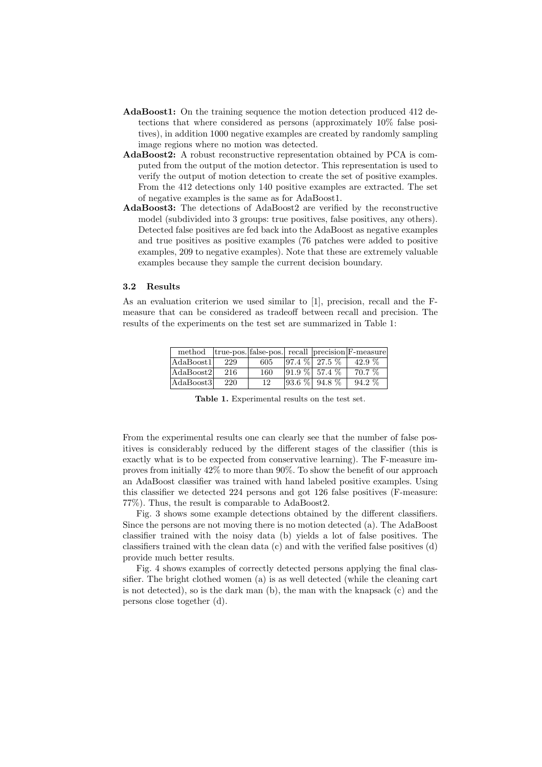- AdaBoost1: On the training sequence the motion detection produced 412 detections that where considered as persons (approximately 10% false positives), in addition 1000 negative examples are created by randomly sampling image regions where no motion was detected.
- AdaBoost2: A robust reconstructive representation obtained by PCA is computed from the output of the motion detector. This representation is used to verify the output of motion detection to create the set of positive examples. From the 412 detections only 140 positive examples are extracted. The set of negative examples is the same as for AdaBoost1.
- AdaBoost3: The detections of AdaBoost2 are verified by the reconstructive model (subdivided into 3 groups: true positives, false positives, any others). Detected false positives are fed back into the AdaBoost as negative examples and true positives as positive examples (76 patches were added to positive examples, 209 to negative examples). Note that these are extremely valuable examples because they sample the current decision boundary.

#### 3.2 Results

As an evaluation criterion we used similar to [1], precision, recall and the Fmeasure that can be considered as tradeoff between recall and precision. The results of the experiments on the test set are summarized in Table 1:

|                       |     |     |                               | method  true-pos. [false-pos.] recall  precision F-measure |
|-----------------------|-----|-----|-------------------------------|------------------------------------------------------------|
| AdaBoost <sub>1</sub> | 229 | 605 | $ 97.4 \times  27.5 \times  $ | $42.9\%$                                                   |
| Adaboot2              | 216 | 160 | $91.9 \%$ 57.4 %              | $70.7\%$                                                   |
| $ {\rm AdaBoost3} $   | 220 | 12  | $93.6\%$ 94.8 $%$             | $94.2\%$                                                   |

Table 1. Experimental results on the test set.

From the experimental results one can clearly see that the number of false positives is considerably reduced by the different stages of the classifier (this is exactly what is to be expected from conservative learning). The F-measure improves from initially 42% to more than 90%. To show the benefit of our approach an AdaBoost classifier was trained with hand labeled positive examples. Using this classifier we detected 224 persons and got 126 false positives (F-measure: 77%). Thus, the result is comparable to AdaBoost2.

Fig. 3 shows some example detections obtained by the different classifiers. Since the persons are not moving there is no motion detected (a). The AdaBoost classifier trained with the noisy data (b) yields a lot of false positives. The classifiers trained with the clean data (c) and with the verified false positives (d) provide much better results.

Fig. 4 shows examples of correctly detected persons applying the final classifier. The bright clothed women (a) is as well detected (while the cleaning cart is not detected), so is the dark man (b), the man with the knapsack (c) and the persons close together (d).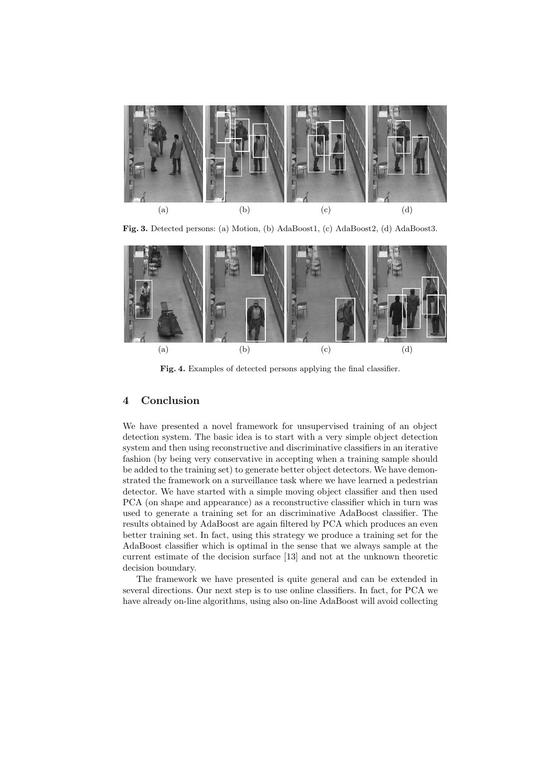

Fig. 3. Detected persons: (a) Motion, (b) AdaBoost1, (c) AdaBoost2, (d) AdaBoost3.



Fig. 4. Examples of detected persons applying the final classifier.

## 4 Conclusion

We have presented a novel framework for unsupervised training of an object detection system. The basic idea is to start with a very simple object detection system and then using reconstructive and discriminative classifiers in an iterative fashion (by being very conservative in accepting when a training sample should be added to the training set) to generate better object detectors. We have demonstrated the framework on a surveillance task where we have learned a pedestrian detector. We have started with a simple moving object classifier and then used PCA (on shape and appearance) as a reconstructive classifier which in turn was used to generate a training set for an discriminative AdaBoost classifier. The results obtained by AdaBoost are again filtered by PCA which produces an even better training set. In fact, using this strategy we produce a training set for the AdaBoost classifier which is optimal in the sense that we always sample at the current estimate of the decision surface [13] and not at the unknown theoretic decision boundary.

The framework we have presented is quite general and can be extended in several directions. Our next step is to use online classifiers. In fact, for PCA we have already on-line algorithms, using also on-line AdaBoost will avoid collecting